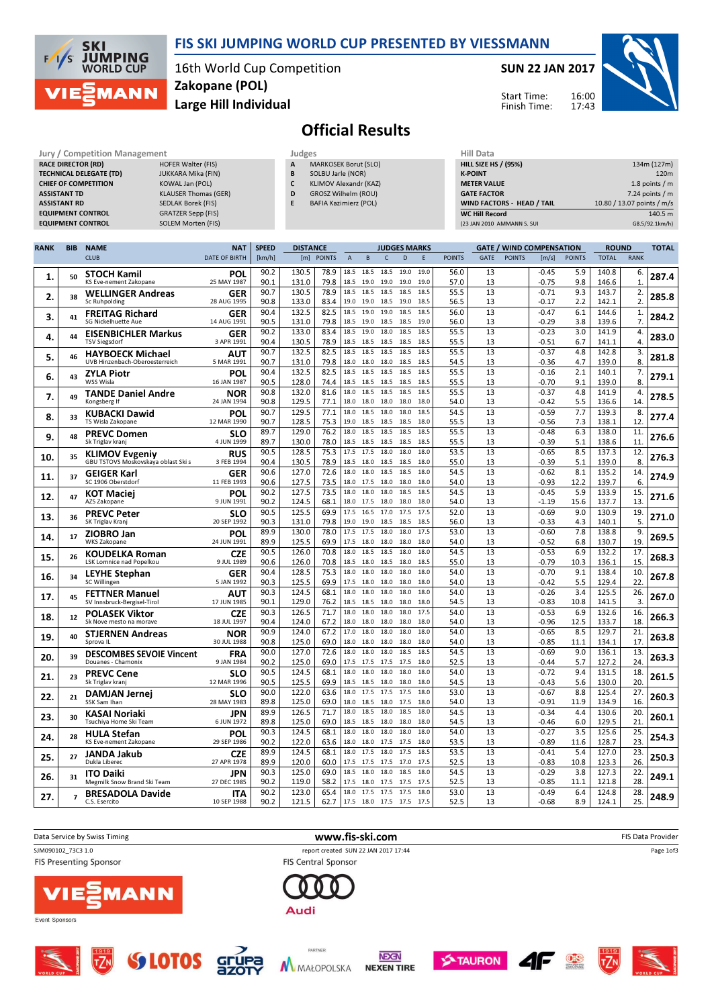

## FIS SKI JUMPING WORLD CUP PRESENTED BY VIESSMANN

16th World Cup Competition Large Hill Individual Zakopane (POL)

#### SUN 22 JAN 2017

Start Time: Finish Time:



# Official Results

| Jury / Competition Management  |                             |   | Judges                       | Hill Data                         |                            |  |  |  |
|--------------------------------|-----------------------------|---|------------------------------|-----------------------------------|----------------------------|--|--|--|
| <b>RACE DIRECTOR (RD)</b>      | HOFER Walter (FIS)          | A | MARKOSEK Borut (SLO)         | <b>HILL SIZE HS / (95%)</b>       | 134m (127m)                |  |  |  |
| <b>TECHNICAL DELEGATE (TD)</b> | JUKKARA Mika (FIN)          | В | SOLBU Jarle (NOR)            | <b>K-POINT</b>                    | 120 <sub>m</sub>           |  |  |  |
| <b>CHIEF OF COMPETITION</b>    | KOWAL Jan (POL)             |   | KLIMOV Alexandr (KAZ)        | <b>METER VALUE</b>                | 1.8 points $/m$            |  |  |  |
| <b>ASSISTANT TD</b>            | <b>KLAUSER Thomas (GER)</b> | D | GROSZ Wilhelm (ROU)          | <b>GATE FACTOR</b>                | $7.24$ points / m          |  |  |  |
| <b>ASSISTANT RD</b>            | SEDLAK Borek (FIS)          |   | <b>BAFIA Kazimierz (POL)</b> | <b>WIND FACTORS - HEAD / TAIL</b> | 10.80 / 13.07 points / m/s |  |  |  |
| <b>EQUIPMENT CONTROL</b>       | GRATZER Sepp (FIS)          |   |                              | <b>WC Hill Record</b>             | 140.5 m                    |  |  |  |
| <b>EQUIPMENT CONTROL</b>       | SOLEM Morten (FIS)          |   |                              | (23 JAN 2010 AMMANN S. SUI        | G8.5/92.1km/h)             |  |  |  |

| <b>RANK</b> | <b>BIB</b> | <b>NAME</b>                                               | <b>NAT</b>                | <b>SPEED</b><br><b>DISTANCE</b><br><b>JUDGES MARKS</b><br><b>GATE / WIND COMPENSATION</b> |                |               | <b>ROUND</b>   |                        | <b>TOTAL</b> |              |              |               |             |               |                    |               |                |                       |       |
|-------------|------------|-----------------------------------------------------------|---------------------------|-------------------------------------------------------------------------------------------|----------------|---------------|----------------|------------------------|--------------|--------------|--------------|---------------|-------------|---------------|--------------------|---------------|----------------|-----------------------|-------|
|             |            | <b>CLUB</b>                                               | <b>DATE OF BIRTH</b>      | [km/h]                                                                                    | [m]            | <b>POINTS</b> | $\overline{A}$ | B                      | $\mathsf{C}$ | D            | E            | <b>POINTS</b> | <b>GATE</b> | <b>POINTS</b> | [m/s]              | <b>POINTS</b> | <b>TOTAL</b>   | <b>RANK</b>           |       |
| 1.          | 50         | <b>STOCH Kamil</b><br>KS Eve-nement Zakopane              | POL<br>25 MAY 1987        | 90.2<br>90.1                                                                              | 130.5<br>131.0 | 78.9<br>79.8  | 18.5<br>18.5   | 18.5<br>19.0           | 18.5<br>19.0 | 19.0<br>19.0 | 19.0<br>19.0 | 56.0<br>57.0  | 13<br>13    |               | $-0.45$<br>$-0.75$ | 5.9<br>9.8    | 140.8<br>146.6 | 6.<br>$\mathbf{1}$    | 287.4 |
| 2.          | 38         | <b>WELLINGER Andreas</b><br>Sc Ruhpolding                 | <b>GER</b><br>28 AUG 1995 | 90.7<br>90.8                                                                              | 130.5<br>133.0 | 78.9<br>83.4  | 19.0           | 18.5 18.5<br>19.0      | 18.5<br>18.5 | 18.5<br>19.0 | 18.5<br>18.5 | 55.5<br>56.5  | 13<br>13    |               | $-0.71$<br>$-0.17$ | 9.3<br>2.2    | 143.7<br>142.1 | 2.<br>2.              | 285.8 |
| 3.          | 41         | <b>FREITAG Richard</b><br><b>SG Nickelhuette Aue</b>      | GER<br>14 AUG 1991        | 90.4<br>90.5                                                                              | 132.5<br>131.0 | 82.5<br>79.8  | 18.5<br>18.5   | 19.0<br>19.0 18.5 18.5 | 19.0         | 18.5         | 18.5<br>19.0 | 56.0<br>56.0  | 13<br>13    |               | $-0.47$<br>$-0.29$ | 6.1<br>3.8    | 144.6<br>139.6 | 1.<br>7.              | 284.2 |
| 4.          | 44         | <b>EISENBICHLER Markus</b>                                | <b>GER</b>                | 90.2                                                                                      | 133.0          | 83.4          | 18.5           | 19.0                   | 18.0         | 18.5         | 18.5         | 55.5          | 13          |               | $-0.23$            | 3.0           | 141.9          | 4.                    | 283.0 |
|             |            | <b>TSV Siegsdorf</b>                                      | 3 APR 1991                | 90.4                                                                                      | 130.5          | 78.9          | 18.5           | 18.5                   | 18.5         | 18.5         | 18.5<br>18.5 | 55.5          | 13          |               | $-0.51$            | 6.7           | 141.1          | 4.                    |       |
| 5.          | 46         | <b>HAYBOECK Michael</b><br>UVB Hinzenbach-Oberoesterreich | AUT<br>5 MAR 1991         | 90.7<br>90.7                                                                              | 132.5<br>131.0 | 82.5<br>79.8  | 18.5<br>18.0   | 18.5<br>18.0           | 18.5<br>18.0 | 18.5<br>18.5 | 18.5         | 55.5<br>54.5  | 13<br>13    |               | $-0.37$<br>$-0.36$ | 4.8<br>4.7    | 142.8<br>139.0 | 3.<br>8.              | 281.8 |
| 6.          | 43         | ZYLA Piotr<br>WSS Wisla                                   | POL<br>16 JAN 1987        | 90.4<br>90.5                                                                              | 132.5<br>128.0 | 82.5<br>74.4  | 18.5<br>18.5   | 18.5<br>18.5           | 18.5<br>18.5 | 18.5<br>18.5 | 18.5<br>18.5 | 55.5<br>55.5  | 13<br>13    |               | $-0.16$<br>$-0.70$ | 2.1<br>9.1    | 140.1<br>139.0 | 7.<br>8.              | 279.1 |
| 7.          | 49         | <b>TANDE Daniel Andre</b><br>Kongsberg If                 | <b>NOR</b><br>24 JAN 1994 | 90.8<br>90.8                                                                              | 132.0<br>129.5 | 81.6<br>77.1  | 18.0<br>18.0   | 18.5<br>18.0           | 18.5<br>18.0 | 18.5<br>18.0 | 18.5<br>18.0 | 55.5<br>54.0  | 13<br>13    |               | $-0.37$<br>$-0.42$ | 4.8<br>5.5    | 141.9<br>136.6 | 4.<br>14              | 278.5 |
|             |            | KUBACKI Dawid                                             | POL                       | 90.7                                                                                      | 129.5          | 77.1          | 18.0           | 18.5                   | 18.0         | 18.0         | 18.5         | 54.5          | 13          |               | $-0.59$            | 7.7           | 139.3          | 8.                    |       |
| 8.          | 33         | TS Wisla Zakopane                                         | 12 MAR 1990               | 90.7                                                                                      | 128.5          | 75.3          | 19.0           | 18.5                   | 18.5         | 18.5         | 18.0         | 55.5          | 13          |               | $-0.56$            | 7.3           | 138.1          | 12.                   | 277.4 |
| 9.          | 48         | <b>PREVC Domen</b><br>Sk Triglav kranj                    | <b>SLO</b><br>4 JUN 1999  | 89.7<br>89.7                                                                              | 129.0<br>130.0 | 76.2<br>78.0  | 18.0<br>18.5   | 18.5<br>18.5           | 18.5<br>18.5 | 18.5<br>18.5 | 18.5<br>18.5 | 55.5<br>55.5  | 13<br>13    |               | $-0.48$<br>$-0.39$ | 6.3<br>5.1    | 138.0<br>138.6 | 11<br>11.             | 276.6 |
| 10.         | 35         | <b>KLIMOV Evgeniy</b>                                     | <b>RUS</b>                | 90.5                                                                                      | 128.5          | 75.3          | 17.5           | 17.5                   | 18.0         | 18.0         | 18.0         | 53.5          | 13          |               | $-0.65$            | 8.5           | 137.3          | 12.                   | 276.3 |
|             |            | GBU TSTOVS Moskovskaya oblast Ski s                       | 3 FEB 1994                | 90.4<br>90.6                                                                              | 130.5<br>127.0 | 78.9<br>72.6  | 18.5<br>18.0   | 18.0<br>18.0           | 18.5<br>18.5 | 18.5<br>18.5 | 18.0<br>18.0 | 55.0<br>54.5  | 13<br>13    |               | $-0.39$<br>$-0.62$ | 5.1<br>8.1    | 139.0<br>135.2 | 8.<br>14              |       |
| 11.         | 37         | <b>GEIGER Karl</b><br>SC 1906 Oberstdorf                  | <b>GER</b><br>11 FEB 1993 | 90.6                                                                                      | 127.5          | 73.5          | 18.0           | 17.5                   | 18.0         | 18.0         | 18.0         | 54.0          | 13          |               | $-0.93$            | 12.2          | 139.7          | 6.                    | 274.9 |
| 12.         | 47         | <b>KOT Maciej</b><br>AZS Zakopane                         | POL<br>9 JUN 1991         | 90.2<br>90.2                                                                              | 127.5<br>124.5 | 73.5<br>68.1  | 18.0<br>18.0   | 18.0<br>17.5           | 18.0<br>18.0 | 18.5<br>18.0 | 18.5<br>18.0 | 54.5<br>54.0  | 13<br>13    |               | $-0.45$<br>$-1.19$ | 5.9<br>15.6   | 133.9<br>137.7 | 15.<br>13             | 271.6 |
| 13.         | 36         | <b>PREVC Peter</b><br>SK Triglav Kranj                    | SLO<br>20 SEP 1992        | 90.5<br>90.3                                                                              | 125.5<br>131.0 | 69.9<br>79.8  | 17.5<br>19.0   | 16.5<br>19.0           | 17.0<br>18.5 | 17.5<br>18.5 | 17.5<br>18.5 | 52.0<br>56.0  | 13<br>13    |               | $-0.69$<br>$-0.33$ | 9.0<br>4.3    | 130.9<br>140.1 | 19.<br>5.             | 271.0 |
| 14.         | 17         | <b>ZIOBRO Jan</b><br><b>WKS Zakopane</b>                  | POL<br>24 JUN 1991        | 89.9<br>89.9                                                                              | 130.0<br>125.5 | 78.0<br>69.9  | 17.5           | 17.5 17.5<br>18.0      | 18.0<br>18.0 | 18.0<br>18.0 | 17.5<br>18.0 | 53.0<br>54.0  | 13<br>13    |               | $-0.60$<br>$-0.52$ | 7.8<br>6.8    | 138.8<br>130.7 | 9.<br>19              | 269.5 |
| 15.         | 26         | KOUDELKA Roman                                            | <b>CZE</b>                | 90.5                                                                                      | 126.0          | 70.8          | 18.0           | 18.5                   | 18.5         | 18.0         | 18.0         | 54.5          | 13          |               | $-0.53$            | 6.9           | 132.2          | 17                    | 268.3 |
|             |            | LSK Lomnice nad Popelkou                                  | 9 JUL 1989                | 90.6<br>90.4                                                                              | 126.0<br>128.5 | 70.8<br>75.3  | 18.5<br>18.0   | 18.0<br>18.0           | 18.5<br>18.0 | 18.0<br>18.0 | 18.5<br>18.0 | 55.0<br>54.0  | 13<br>13    |               | -0.79<br>$-0.70$   | 10.3<br>9.1   | 136.1<br>138.4 | 15<br>10.             |       |
| 16.         | 34         | <b>LEYHE Stephan</b><br>SC Willingen                      | GER<br>5 JAN 1992         | 90.3                                                                                      | 125.5          | 69.9          | 17.5           | 18.0                   | 18.0         | 18.0         | 18.0         | 54.0          | 13          |               | $-0.42$            | 5.5           | 129.4          | 22                    | 267.8 |
| 17.         | 45         | <b>FETTNER Manuel</b><br>SV Innsbruck-Bergisel-Tirol      | AUT<br>17 JUN 1985        | 90.3<br>90.1                                                                              | 124.5<br>129.0 | 68.1<br>76.2  | 18.0<br>18.5   | 18.0<br>18.5           | 18.0<br>18.0 | 18.0<br>18.0 | 18.0<br>18.0 | 54.0<br>54.5  | 13<br>13    |               | $-0.26$<br>$-0.83$ | 3.4<br>10.8   | 125.5<br>141.5 | $\overline{26}$<br>3. | 267.0 |
| 18.         | 12         | <b>POLASEK Viktor</b>                                     | <b>CZE</b>                | 90.3                                                                                      | 126.5          | 71.7          | 18.0           | 18.0                   | 18.0         | 18.0         | 17.5         | 54.0          | 13          |               | $-0.53$            | 6.9           | 132.6          | 16.                   | 266.3 |
|             |            | Sk Nove mesto na morave                                   | 18 JUL 1997               | 90.4<br>90.9                                                                              | 124.0<br>124.0 | 67.2<br>67.2  | 18.0<br>17.0   | 18.0<br>18.0           | 18.0<br>18.0 | 18.0<br>18.0 | 18.0<br>18.0 | 54.0<br>54.0  | 13<br>13    |               | $-0.96$<br>$-0.65$ | 12.5<br>8.5   | 133.7<br>129.7 | 18.<br>21.            |       |
| 19.         | 40         | <b>STJERNEN Andreas</b><br>Sprova IL                      | NOR<br>30 JUL 1988        | 90.8                                                                                      | 125.0          | 69.0          | 18.0           | 18.0                   | 18.0         | 18.0         | 18.0         | 54.0          | 13          |               | $-0.85$            | 11.1          | 134.1          | 17                    | 263.8 |
| 20.         | 39         | <b>DESCOMBES SEVOIE Vincent</b><br>Douanes - Chamonix     | <b>FRA</b><br>9 JAN 1984  | 90.0<br>90.2                                                                              | 127.0<br>125.0 | 72.6<br>69.0  | 18.0<br>17.5   | 18.0<br>17.5           | 18.0<br>17.5 | 18.5<br>17.5 | 18.5<br>18.0 | 54.5<br>52.5  | 13<br>13    |               | $-0.69$<br>$-0.44$ | 9.0<br>5.7    | 136.1<br>127.2 | 13.<br>24             | 263.3 |
| 21.         | 23         | <b>PREVC Cene</b><br>Sk Triglav kranj                     | SLO<br>12 MAR 1996        | 90.5<br>90.5                                                                              | 124.5<br>125.5 | 68.1<br>69.9  | 18.0<br>18.5   | 18.0<br>18.5           | 18.0<br>18.0 | 18.0<br>18.0 | 18.0<br>18.0 | 54.0<br>54.5  | 13<br>13    |               | $-0.72$<br>$-0.43$ | 9.4<br>5.6    | 131.5<br>130.0 | 18.<br>20.            | 261.5 |
| 22.         | 21         | <b>DAMJAN Jernej</b>                                      | SLO                       | 90.0                                                                                      | 122.0          | 63.6          | 18.0           | 17.5                   | 17.5         | 17.5         | 18.0         | 53.0          | 13          |               | $-0.67$            | 8.8           | 125.4          | 27.                   | 260.3 |
|             |            | SSK Sam Ihan                                              | 28 MAY 1983<br><b>JPN</b> | 89.8<br>89.9                                                                              | 125.0<br>126.5 | 69.0<br>71.7  | 18.0<br>18.0   | 18.5<br>18.5           | 18.0<br>18.0 | 17.5<br>18.5 | 18.0<br>18.0 | 54.0<br>54.5  | 13<br>13    |               | $-0.91$<br>$-0.34$ | 11.9<br>4.4   | 134.9<br>130.6 | 16.<br>20.            |       |
| 23.         | 30         | KASAI Noriaki<br>Tsuchiya Home Ski Team                   | 6 JUN 1972                | 89.8                                                                                      | 125.0          | 69.0          | 18.5           | 18.5                   | 18.0         | 18.0         | 18.0         | 54.5          | 13          |               | $-0.46$            | 6.0           | 129.5          | 21.                   | 260.1 |
| 24.         | 28         | <b>HULA Stefan</b><br>KS Eve-nement Zakopane              | POL<br>29 SEP 1986        | 90.3<br>90.2                                                                              | 124.5<br>122.0 | 68.1<br>63.6  | 18.0<br>18.0   | 18.0<br>18.0           | 18.0<br>17.5 | 18.0<br>17.5 | 18.0<br>18.0 | 54.0<br>53.5  | 13<br>13    |               | $-0.27$<br>$-0.89$ | 3.5<br>11.6   | 125.6<br>128.7 | 25.<br>23.            | 254.3 |
| 25.         | 27         | JANDA Jakub<br>Dukla Liberec                              | CZE<br>27 APR 1978        | 89.9<br>89.9                                                                              | 124.5<br>120.0 | 68.1<br>60.0  | 18.0<br>17.5   | 17.5<br>17.5           | 18.0<br>17.5 | 17.5<br>17.0 | 18.5<br>17.5 | 53.5<br>52.5  | 13<br>13    |               | $-0.41$<br>$-0.83$ | 5.4<br>10.8   | 127.0<br>123.3 | 23.<br>26.            | 250.3 |
| 26.         | 31         | <b>ITO Daiki</b>                                          | <b>JPN</b>                | 90.3                                                                                      | 125.0          | 69.0          | 18.5           | 18.0                   | 18.0         | 18.5         | 18.0         | 54.5          | 13          |               | $-0.29$            | 3.8           | 127.3          | 22.                   | 249.1 |
|             |            | Megmilk Snow Brand Ski Team                               | 27 DEC 1985               | 90.2<br>90.2                                                                              | 119.0<br>123.0 | 58.2<br>65.4  | 17.5<br>18.0   | 18.0<br>17.5 17.5      | 17.5         | 17.5<br>17.5 | 17.5<br>18.0 | 52.5<br>53.0  | 13<br>13    |               | $-0.85$<br>$-0.49$ | 11.1<br>6.4   | 121.8<br>124.8 | 28.<br>28             |       |
| 27.         |            | <b>BRESADOLA Davide</b><br>C.S. Esercito                  | <b>ITA</b><br>10 SEP 1988 | 90.2                                                                                      | 121.5          | 62.7          | 17.5           | 18.0 17.5 17.5         |              |              | 17.5         | 52.5          | 13          |               | $-0.68$            | 8.9           | 124.1          | 25.                   | 248.9 |











**X**TAURON

**4F ®** 

T7N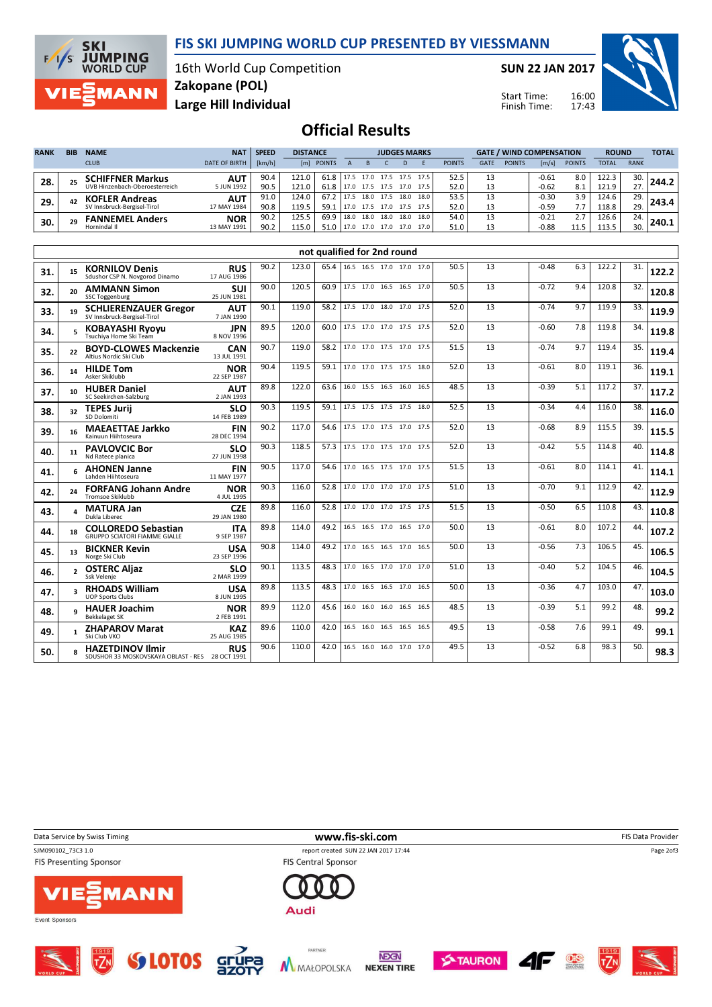

16th World Cup Competition Zakopane (POL) MANN Large Hill Individual

**SKI<br>JUMPING<br>WORLD CUP** 

 $F/I/S$ 

ZIE

SUN 22 JAN 2017

Start Time: Finish Time:



# Official Results

| <b>RANK</b> | <b>BIB</b> | <b>NAME</b><br><b>CLUB</b>                               | <b>NAT</b><br><b>DATE OF BIRTH</b> | <b>SPEED</b><br>[km/h] | <b>DISTANCE</b> | [m] POINTS   |              |                   | <b>JUDGES MARKS</b>    |              |              | <b>POINTS</b> | <b>GATE</b> | <b>POINTS</b> | [m/s]              | <b>GATE / WIND COMPENSATION</b><br><b>POINTS</b> |                | <b>ROUND</b><br><b>RANK</b><br>TOTAL |       |
|-------------|------------|----------------------------------------------------------|------------------------------------|------------------------|-----------------|--------------|--------------|-------------------|------------------------|--------------|--------------|---------------|-------------|---------------|--------------------|--------------------------------------------------|----------------|--------------------------------------|-------|
| 28.         |            | <b>CHIFFNER Markus</b><br>UVB Hinzenbach-Oberoesterreich | <b>AUT</b><br>5 JUN 1992           | 90.4<br>90.5           | 121.0<br>121.0  | 61.8<br>61.8 | 17.5<br>17.0 | 17.0<br>17.5 17.5 | 17.5                   | 17.5<br>17.0 | 17.5<br>17.5 | 52.5<br>52.0  | 13          |               | $-0.61$<br>$-0.62$ | 8.0<br>8.1                                       | 122.3<br>121.9 | 30.                                  | 244.2 |
| 29.         | 42         | <b>KOFLER Andreas</b><br>SV Innsbruck-Bergisel-Tirol     | <b>AUT</b><br>17 MAY 1984          | 91.0<br>90.8           | 124.0<br>119.5  | 67.2<br>59.1 | 17.5<br>17.0 | 18.0<br>17.5      | 17.5<br>17.0 17.5 17.5 | 18.0         | 18.0         | 53.5<br>52.0  | 12<br>13    |               | $-0.30$<br>$-0.59$ | 3.9<br>7.7                                       | 124.6<br>118.8 | 29.<br>29.                           |       |
| 30.         | 29         | <b>FANNEMEL Anders</b><br>Hornindal II                   | <b>NOR</b><br>13 MAY 1991          | 90.2<br>90.2           | 125.5<br>115.0  | 69.9<br>51.0 | 18.0<br>17.0 | 18.0<br>17.0      | 18.0<br>17.0 17.0      | 18.0         | 18.0<br>17.0 | 54.0<br>51.0  | 13          |               | $-0.21$<br>$-0.88$ | 2.7                                              | 126.6<br>113.5 | 24.<br>30.                           | 240.1 |

|     |    |                                                                            |                           |      |       | not qualified for 2nd round |                               |                          |  |      |    |         |     |       |     |       |
|-----|----|----------------------------------------------------------------------------|---------------------------|------|-------|-----------------------------|-------------------------------|--------------------------|--|------|----|---------|-----|-------|-----|-------|
| 31. | 15 | <b>KORNILOV Denis</b><br>Sdushor CSP N. Novgorod Dinamo                    | <b>RUS</b><br>17 AUG 1986 | 90.2 | 123.0 |                             | 65.4 16.5 16.5 17.0 17.0 17.0 |                          |  | 50.5 | 13 | $-0.48$ | 6.3 | 122.2 | 31. | 122.2 |
| 32. | 20 | <b>AMMANN Simon</b><br><b>SSC Toggenburg</b>                               | SUI<br>25 JUN 1981        | 90.0 | 120.5 | 60.9                        |                               | 17.5 17.0 16.5 16.5 17.0 |  | 50.5 | 13 | $-0.72$ | 9.4 | 120.8 | 32. | 120.8 |
| 33. | 19 | <b>SCHLIERENZAUER Gregor</b><br>SV Innsbruck-Bergisel-Tirol                | <b>AUT</b><br>7 JAN 1990  | 90.1 | 119.0 | 58.2                        |                               | 17.5 17.0 18.0 17.0 17.5 |  | 52.0 | 13 | $-0.74$ | 9.7 | 119.9 | 33. | 119.9 |
| 34. |    | <b>KOBAYASHI Ryoyu</b><br>Tsuchiva Home Ski Team                           | <b>JPN</b><br>8 NOV 1996  | 89.5 | 120.0 | 60.0                        |                               | 17.5 17.0 17.0 17.5 17.5 |  | 52.0 | 13 | $-0.60$ | 7.8 | 119.8 | 34. | 119.8 |
| 35. | 22 | <b>BOYD-CLOWES Mackenzie</b><br>Altius Nordic Ski Club                     | CAN<br>13 JUL 1991        | 90.7 | 119.0 | 58.2                        |                               | 17.0 17.0 17.5 17.0 17.5 |  | 51.5 | 13 | $-0.74$ | 9.7 | 119.4 | 35. | 119.4 |
| 36. | 14 | <b>HILDE Tom</b><br>Asker Skiklubb                                         | <b>NOR</b><br>22 SEP 1987 | 90.4 | 119.5 | 59.1                        |                               | 17.0 17.0 17.5 17.5 18.0 |  | 52.0 | 13 | $-0.61$ | 8.0 | 119.1 | 36. | 119.1 |
| 37. | 10 | <b>HUBER Daniel</b><br>SC Seekirchen-Salzburg                              | <b>AUT</b><br>2 JAN 1993  | 89.8 | 122.0 | 63.6                        |                               | 16.0 15.5 16.5 16.0 16.5 |  | 48.5 | 13 | $-0.39$ | 5.1 | 117.2 | 37. | 117.2 |
| 38. | 32 | <b>TEPES Jurij</b><br>SD Dolomiti                                          | <b>SLO</b><br>14 FEB 1989 | 90.3 | 119.5 | 59.1                        |                               | 17.5 17.5 17.5 17.5 18.0 |  | 52.5 | 13 | $-0.34$ | 4.4 | 116.0 | 38. | 116.0 |
| 39. | 16 | <b>MAEAETTAE Jarkko</b><br>Kainuun Hiihtoseura                             | <b>FIN</b><br>28 DEC 1994 | 90.2 | 117.0 | 54.6                        |                               | 17.5 17.0 17.5 17.0 17.5 |  | 52.0 | 13 | $-0.68$ | 8.9 | 115.5 | 39. | 115.5 |
| 40. | 11 | <b>PAVLOVCIC Bor</b><br>Nd Ratece planica                                  | <b>SLO</b><br>27 JUN 1998 | 90.3 | 118.5 | 57.3                        |                               | 17.5 17.0 17.5 17.0 17.5 |  | 52.0 | 13 | $-0.42$ | 5.5 | 114.8 | 40. | 114.8 |
| 41. |    | <b>AHONEN Janne</b><br>Lahden Hiihtoseura                                  | <b>FIN</b><br>11 MAY 1977 | 90.5 | 117.0 | 54.6                        |                               | 17.0 16.5 17.5 17.0 17.5 |  | 51.5 | 13 | $-0.61$ | 8.0 | 114.1 | 41. | 114.1 |
| 42. | 24 | <b>FORFANG Johann Andre</b><br>Tromsoe Skiklubb                            | <b>NOR</b><br>4 JUL 1995  | 90.3 | 116.0 | 52.8                        |                               | 17.0 17.0 17.0 17.0 17.5 |  | 51.0 | 13 | $-0.70$ | 9.1 | 112.9 | 42. | 112.9 |
| 43. |    | <b>MATURA Jan</b><br>Dukla Liberec                                         | <b>CZE</b><br>29 JAN 1980 | 89.8 | 116.0 | 52.8                        |                               | 17.0 17.0 17.0 17.5 17.5 |  | 51.5 | 13 | $-0.50$ | 6.5 | 110.8 | 43. | 110.8 |
| 44. | 18 | <b>COLLOREDO Sebastian</b><br><b>GRUPPO SCIATORI FIAMME GIALLE</b>         | <b>ITA</b><br>9 SEP 1987  | 89.8 | 114.0 | 49.2                        |                               | 16.5 16.5 17.0 16.5 17.0 |  | 50.0 | 13 | $-0.61$ | 8.0 | 107.2 | 44. | 107.2 |
| 45. | 13 | <b>BICKNER Kevin</b><br>Norge Ski Club                                     | <b>USA</b><br>23 SEP 1996 | 90.8 | 114.0 | 49.2                        |                               | 17.0 16.5 16.5 17.0 16.5 |  | 50.0 | 13 | $-0.56$ | 7.3 | 106.5 | 45. | 106.5 |
| 46. |    | <b>OSTERC Aliaz</b><br>Ssk Velenie                                         | <b>SLO</b><br>2 MAR 1999  | 90.1 | 113.5 | 48.3                        |                               | 17.0 16.5 17.0 17.0 17.0 |  | 51.0 | 13 | $-0.40$ | 5.2 | 104.5 | 46. | 104.5 |
| 47. |    | <b>RHOADS William</b><br><b>UOP Sports Clubs</b>                           | <b>USA</b><br>8 JUN 1995  | 89.8 | 113.5 | 48.3                        |                               | 17.0 16.5 16.5 17.0 16.5 |  | 50.0 | 13 | $-0.36$ | 4.7 | 103.0 | 47. | 103.0 |
| 48. |    | <b>HAUER Joachim</b><br><b>Bekkelaget SK</b>                               | <b>NOR</b><br>2 FEB 1991  | 89.9 | 112.0 | 45.6                        |                               | 16.0 16.0 16.0 16.5 16.5 |  | 48.5 | 13 | $-0.39$ | 5.1 | 99.2  | 48. | 99.2  |
| 49. |    | <b>ZHAPAROV Marat</b><br>Ski Club VKO                                      | <b>KAZ</b><br>25 AUG 1985 | 89.6 | 110.0 | 42.0                        |                               | 16.5 16.0 16.5 16.5 16.5 |  | 49.5 | 13 | $-0.58$ | 7.6 | 99.1  | 49. | 99.1  |
| 50. |    | <b>HAZETDINOV Ilmir</b><br>SDUSHOR 33 MOSKOVSKAYA OBLAST - RES 28 OCT 1991 | <b>RUS</b>                | 90.6 | 110.0 | 42.0                        |                               | 16.5 16.0 16.0 17.0 17.0 |  | 49.5 | 13 | $-0.52$ | 6.8 | 98.3  | 50. | 98.3  |